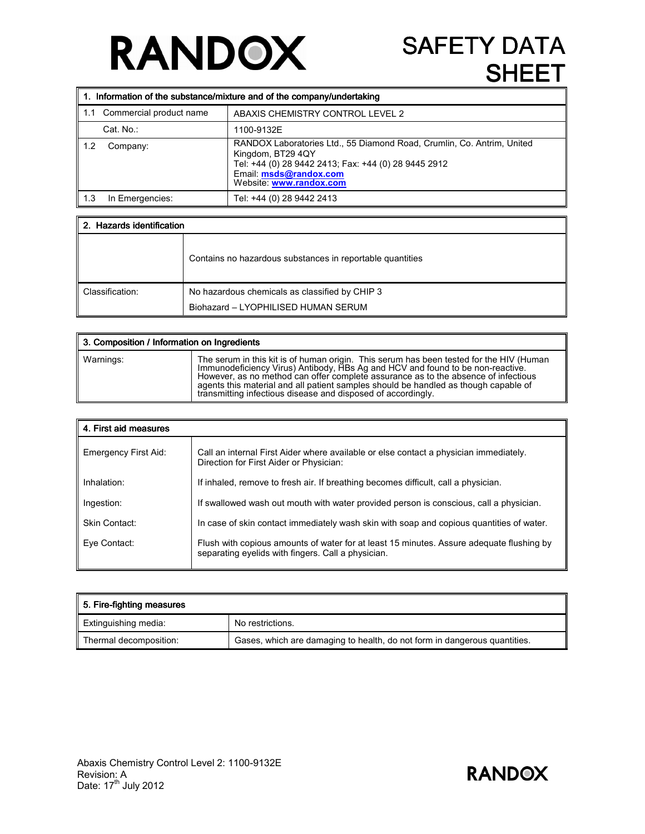## **RANDOX**

## **SAFETY DATA** SHEET

|       | $\parallel$ 1. Information of the substance/mixture and of the company/undertaking |                                                                                                                                                                                                          |  |
|-------|------------------------------------------------------------------------------------|----------------------------------------------------------------------------------------------------------------------------------------------------------------------------------------------------------|--|
| l 1.1 | Commercial product name                                                            | ABAXIS CHEMISTRY CONTROL LEVEL 2                                                                                                                                                                         |  |
|       | Cat. No.:                                                                          | 1100-9132E                                                                                                                                                                                               |  |
| 1.2   | Company:                                                                           | RANDOX Laboratories Ltd., 55 Diamond Road, Crumlin, Co. Antrim, United<br>Kingdom, BT29 4QY<br>Tel: +44 (0) 28 9442 2413; Fax: +44 (0) 28 9445 2912<br>Email: msds@randox.com<br>Website: www.randox.com |  |
| - 1.3 | In Emergencies:                                                                    | Tel: +44 (0) 28 9442 2413                                                                                                                                                                                |  |

| 2. Hazards identification |                                                                                       |  |
|---------------------------|---------------------------------------------------------------------------------------|--|
|                           | Contains no hazardous substances in reportable quantities                             |  |
| Classification:           | No hazardous chemicals as classified by CHIP 3<br>Biohazard - LYOPHILISED HUMAN SERUM |  |

| 3. Composition / Information on Ingredients |                                                                                                                                                                                                                                                                                                                                                                                                                        |
|---------------------------------------------|------------------------------------------------------------------------------------------------------------------------------------------------------------------------------------------------------------------------------------------------------------------------------------------------------------------------------------------------------------------------------------------------------------------------|
| Warnings:                                   | The serum in this kit is of human origin. This serum has been tested for the HIV (Human<br>Immunodeficiency Virus) Antibody, HBs Ag and HCV and found to be non-reactive.<br>However, as no method can offer complete assurance as to the absence of infectious<br>agents this material and all patient samples should be handled as though capable of<br>transmitting infectious disease and disposed of accordingly. |

| 4. First aid measures |                                                                                                                                                |  |
|-----------------------|------------------------------------------------------------------------------------------------------------------------------------------------|--|
| Emergency First Aid:  | Call an internal First Aider where available or else contact a physician immediately.<br>Direction for First Aider or Physician:               |  |
| Inhalation:           | If inhaled, remove to fresh air. If breathing becomes difficult, call a physician.                                                             |  |
| Ingestion:            | If swallowed wash out mouth with water provided person is conscious, call a physician.                                                         |  |
| Skin Contact:         | In case of skin contact immediately wash skin with soap and copious quantities of water.                                                       |  |
| Eye Contact:          | Flush with copious amounts of water for at least 15 minutes. Assure adequate flushing by<br>separating evelids with fingers. Call a physician. |  |

| 5. Fire-fighting measures |                                                                           |
|---------------------------|---------------------------------------------------------------------------|
| Extinguishing media:      | No restrictions.                                                          |
| Thermal decomposition:    | Gases, which are damaging to health, do not form in dangerous quantities. |

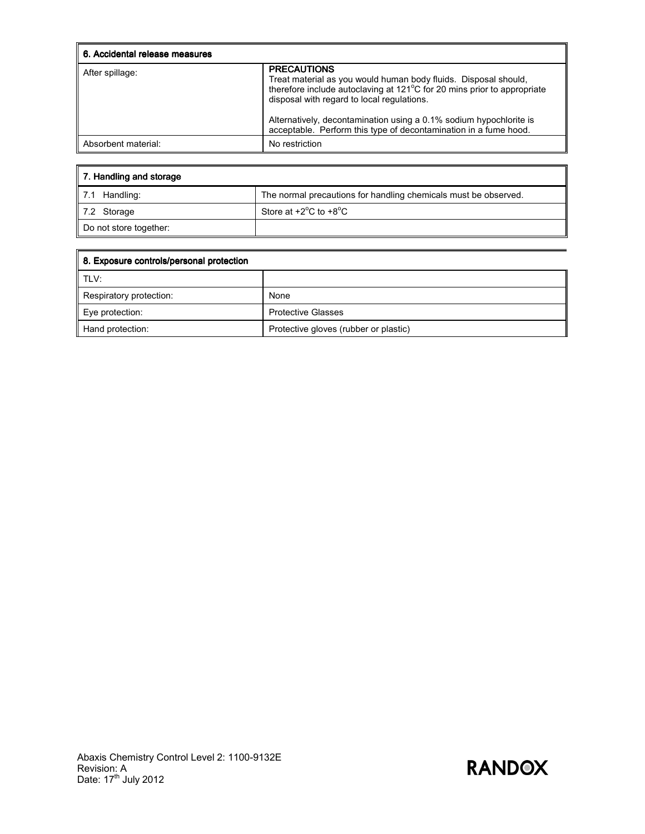| 6. Accidental release measures |                                                                                                                                                                                                                                                                                                                                                          |
|--------------------------------|----------------------------------------------------------------------------------------------------------------------------------------------------------------------------------------------------------------------------------------------------------------------------------------------------------------------------------------------------------|
| After spillage:                | <b>PRECAUTIONS</b><br>Treat material as you would human body fluids. Disposal should,<br>therefore include autoclaving at 121°C for 20 mins prior to appropriate<br>disposal with regard to local regulations.<br>Alternatively, decontamination using a 0.1% sodium hypochlorite is<br>acceptable. Perform this type of decontamination in a fume hood. |
| Absorbent material:            | No restriction                                                                                                                                                                                                                                                                                                                                           |

| 7. Handling and storage |                                                                 |  |
|-------------------------|-----------------------------------------------------------------|--|
| 7.1 Handling:           | The normal precautions for handling chemicals must be observed. |  |
| 7.2 Storage             | Store at $+2^{\circ}$ C to $+8^{\circ}$ C                       |  |
| Do not store together:  |                                                                 |  |

| 8. Exposure controls/personal protection |                                       |
|------------------------------------------|---------------------------------------|
| I TLV:                                   |                                       |
| Respiratory protection:                  | None                                  |
| Eye protection:                          | <b>Protective Glasses</b>             |
| Hand protection:                         | Protective gloves (rubber or plastic) |

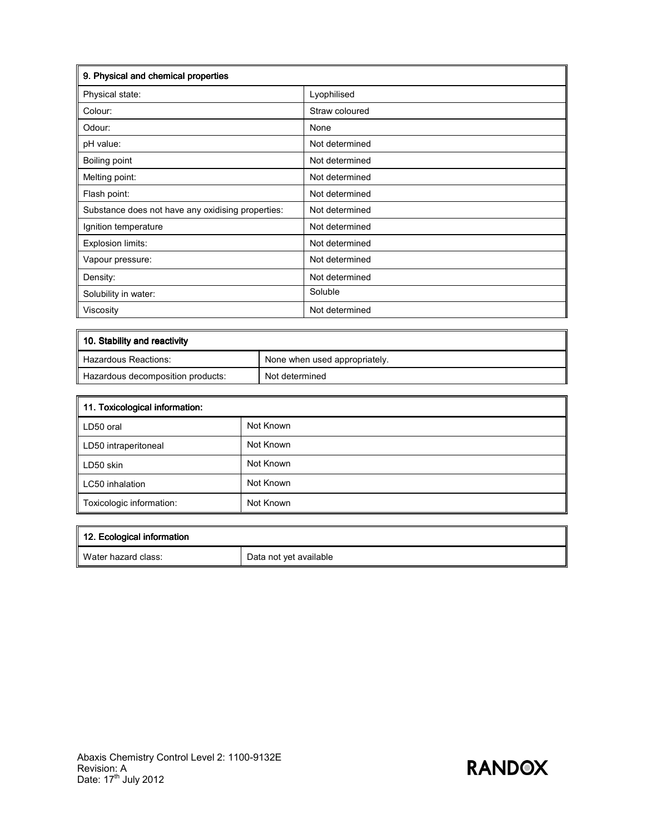| 9. Physical and chemical properties               |                |  |
|---------------------------------------------------|----------------|--|
| Physical state:                                   | Lyophilised    |  |
| Colour:                                           | Straw coloured |  |
| Odour:                                            | None           |  |
| pH value:                                         | Not determined |  |
| <b>Boiling point</b>                              | Not determined |  |
| Melting point:                                    | Not determined |  |
| Flash point:                                      | Not determined |  |
| Substance does not have any oxidising properties: | Not determined |  |
| Ignition temperature                              | Not determined |  |
| Explosion limits:                                 | Not determined |  |
| Vapour pressure:                                  | Not determined |  |
| Density:                                          | Not determined |  |
| Solubility in water:                              | Soluble        |  |
| Viscosity                                         | Not determined |  |

| 10. Stability and reactivity      |                               |  |
|-----------------------------------|-------------------------------|--|
| Hazardous Reactions:              | None when used appropriately. |  |
| Hazardous decomposition products: | Not determined                |  |

| 11. Toxicological information: |           |
|--------------------------------|-----------|
| LD50 oral                      | Not Known |
| LD50 intraperitoneal           | Not Known |
| LD50 skin                      | Not Known |
| LC50 inhalation                | Not Known |
| Toxicologic information:       | Not Known |

| 12. Ecological information |                        |
|----------------------------|------------------------|
| ll Water hazard class:     | Data not yet available |